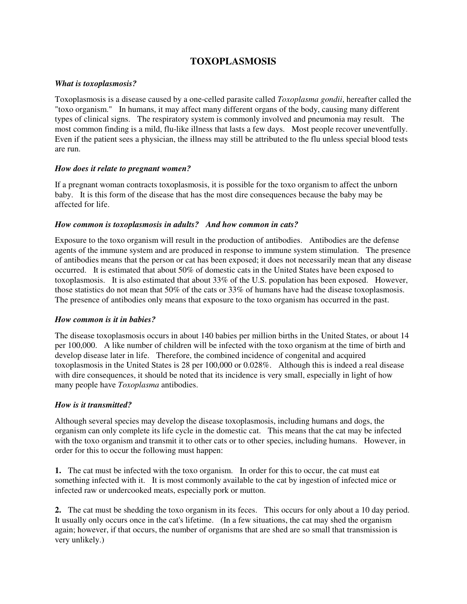# **TOXOPLASMOSIS**

## *What is toxoplasmosis?*

Toxoplasmosis is a disease caused by a one-celled parasite called *Toxoplasma gondii*, hereafter called the "toxo organism." In humans, it may affect many different organs of the body, causing many different types of clinical signs. The respiratory system is commonly involved and pneumonia may result. The most common finding is a mild, flu-like illness that lasts a few days. Most people recover uneventfully. Even if the patient sees a physician, the illness may still be attributed to the flu unless special blood tests are run.

#### *How does it relate to pregnant women?*

If a pregnant woman contracts toxoplasmosis, it is possible for the toxo organism to affect the unborn baby. It is this form of the disease that has the most dire consequences because the baby may be affected for life.

#### *How common is toxoplasmosis in adults? And how common in cats?*

Exposure to the toxo organism will result in the production of antibodies. Antibodies are the defense agents of the immune system and are produced in response to immune system stimulation. The presence of antibodies means that the person or cat has been exposed; it does not necessarily mean that any disease occurred. It is estimated that about 50% of domestic cats in the United States have been exposed to toxoplasmosis. It is also estimated that about 33% of the U.S. population has been exposed. However, those statistics do not mean that 50% of the cats or 33% of humans have had the disease toxoplasmosis. The presence of antibodies only means that exposure to the toxo organism has occurred in the past.

#### *How common is it in babies?*

The disease toxoplasmosis occurs in about 140 babies per million births in the United States, or about 14 per 100,000. A like number of children will be infected with the toxo organism at the time of birth and develop disease later in life. Therefore, the combined incidence of congenital and acquired toxoplasmosis in the United States is 28 per 100,000 or 0.028%. Although this is indeed a real disease with dire consequences, it should be noted that its incidence is very small, especially in light of how many people have *Toxoplasma* antibodies.

# *How is it transmitted?*

Although several species may develop the disease toxoplasmosis, including humans and dogs, the organism can only complete its life cycle in the domestic cat. This means that the cat may be infected with the toxo organism and transmit it to other cats or to other species, including humans. However, in order for this to occur the following must happen:

**1.** The cat must be infected with the toxo organism. In order for this to occur, the cat must eat something infected with it. It is most commonly available to the cat by ingestion of infected mice or infected raw or undercooked meats, especially pork or mutton.

**2.** The cat must be shedding the toxo organism in its feces. This occurs for only about a 10 day period. It usually only occurs once in the cat's lifetime. (In a few situations, the cat may shed the organism again; however, if that occurs, the number of organisms that are shed are so small that transmission is very unlikely.)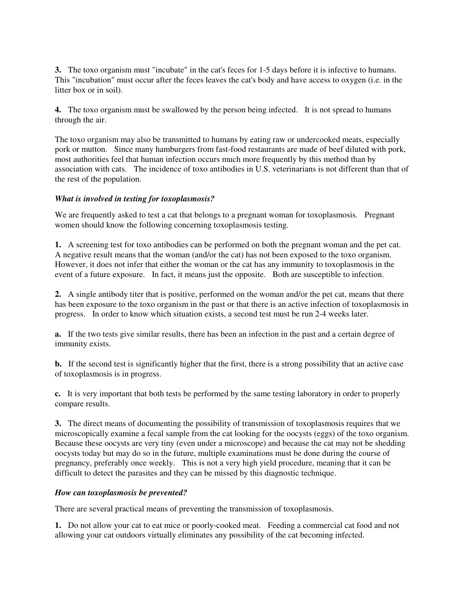**3.** The toxo organism must "incubate" in the cat's feces for 1-5 days before it is infective to humans. This "incubation" must occur after the feces leaves the cat's body and have access to oxygen (i.e. in the litter box or in soil).

**4.** The toxo organism must be swallowed by the person being infected. It is not spread to humans through the air.

The toxo organism may also be transmitted to humans by eating raw or undercooked meats, especially pork or mutton. Since many hamburgers from fast-food restaurants are made of beef diluted with pork, most authorities feel that human infection occurs much more frequently by this method than by association with cats. The incidence of toxo antibodies in U.S. veterinarians is not different than that of the rest of the population.

## *What is involved in testing for toxoplasmosis?*

We are frequently asked to test a cat that belongs to a pregnant woman for toxoplasmosis. Pregnant women should know the following concerning toxoplasmosis testing.

**1.** A screening test for toxo antibodies can be performed on both the pregnant woman and the pet cat. A negative result means that the woman (and/or the cat) has not been exposed to the toxo organism. However, it does not infer that either the woman or the cat has any immunity to toxoplasmosis in the event of a future exposure. In fact, it means just the opposite. Both are susceptible to infection.

**2.** A single antibody titer that is positive, performed on the woman and/or the pet cat, means that there has been exposure to the toxo organism in the past or that there is an active infection of toxoplasmosis in progress. In order to know which situation exists, a second test must be run 2-4 weeks later.

**a.** If the two tests give similar results, there has been an infection in the past and a certain degree of immunity exists.

**b.** If the second test is significantly higher that the first, there is a strong possibility that an active case of toxoplasmosis is in progress.

**c.** It is very important that both tests be performed by the same testing laboratory in order to properly compare results.

**3.** The direct means of documenting the possibility of transmission of toxoplasmosis requires that we microscopically examine a fecal sample from the cat looking for the oocysts (eggs) of the toxo organism. Because these oocysts are very tiny (even under a microscope) and because the cat may not be shedding oocysts today but may do so in the future, multiple examinations must be done during the course of pregnancy, preferably once weekly. This is not a very high yield procedure, meaning that it can be difficult to detect the parasites and they can be missed by this diagnostic technique.

# *How can toxoplasmosis be prevented?*

There are several practical means of preventing the transmission of toxoplasmosis.

**1.** Do not allow your cat to eat mice or poorly-cooked meat. Feeding a commercial cat food and not allowing your cat outdoors virtually eliminates any possibility of the cat becoming infected.